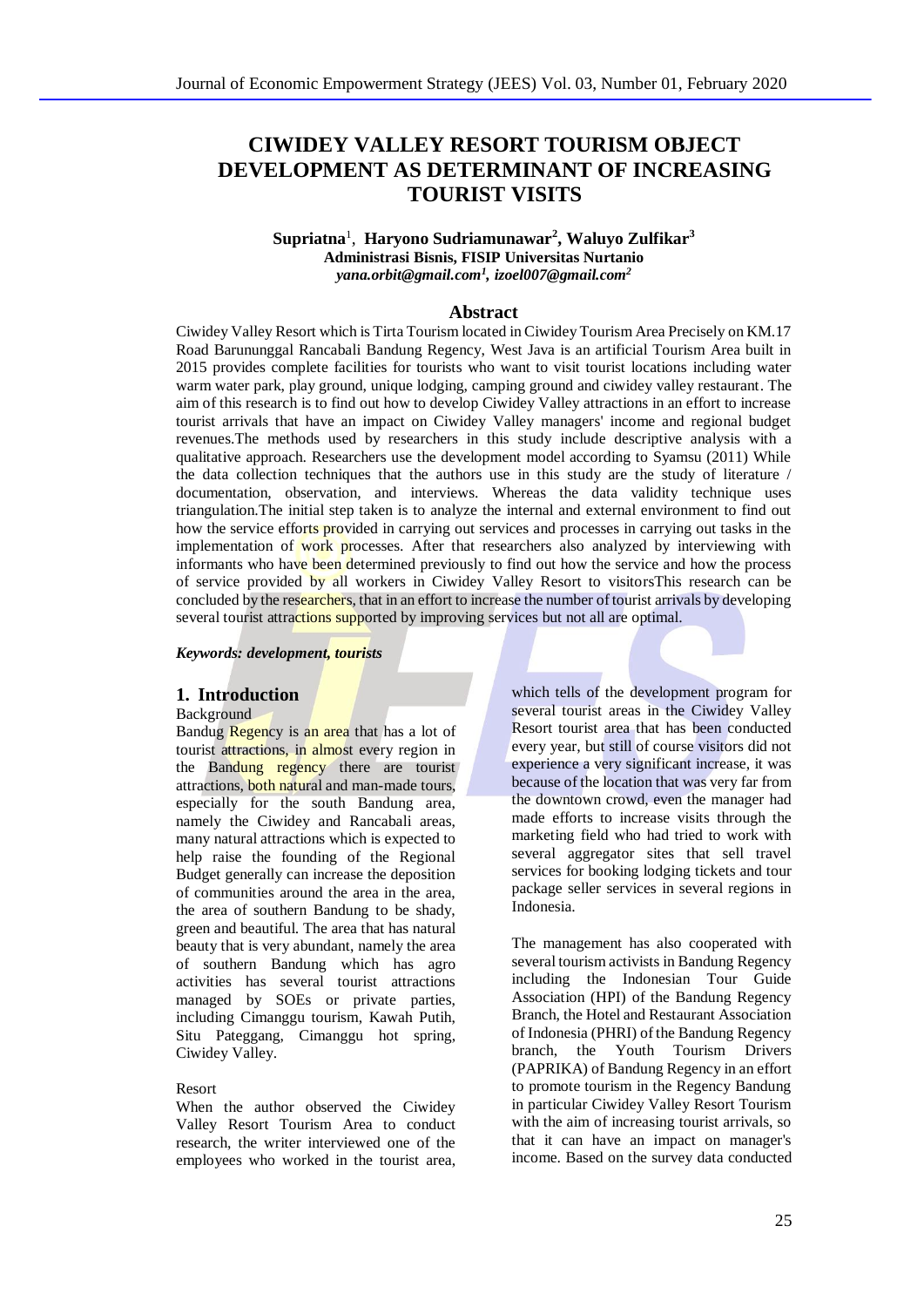# **CIWIDEY VALLEY RESORT TOURISM OBJECT DEVELOPMENT AS DETERMINANT OF INCREASING TOURIST VISITS**

#### **Supriatna**<sup>1</sup> , **Haryono Sudriamunawar<sup>2</sup> , Waluyo Zulfikar<sup>3</sup> Administrasi Bisnis, FISIP Universitas Nurtanio** *[yana.orbit@gmail.com](mailto:yana.orbit@gmail.com)<sup>1</sup> , izoel007@gmail.com<sup>2</sup>*

### **Abstract**

Ciwidey Valley Resort which is Tirta Tourism located in Ciwidey Tourism Area Precisely on KM.17 Road Barununggal Rancabali Bandung Regency, West Java is an artificial Tourism Area built in 2015 provides complete facilities for tourists who want to visit tourist locations including water warm water park, play ground, unique lodging, camping ground and ciwidey valley restaurant. The aim of this research is to find out how to develop Ciwidey Valley attractions in an effort to increase tourist arrivals that have an impact on Ciwidey Valley managers' income and regional budget revenues.The methods used by researchers in this study include descriptive analysis with a qualitative approach. Researchers use the development model according to Syamsu (2011) While the data collection techniques that the authors use in this study are the study of literature / documentation, observation, and interviews. Whereas the data validity technique uses triangulation.The initial step taken is to analyze the internal and external environment to find out how the service efforts provided in carrying out services and processes in carrying out tasks in the implementation of work processes. After that researchers also analyzed by interviewing with informants who have been determined previously to find out how the service and how the process of service provided by all workers in Ciwidey Valley Resort to visitorsThis research can be concluded by the researchers, that in an effort to increase the number of tourist arrivals by developing several tourist attractions supported by improving services but not all are optimal.

*Keywords: development, tourists*

## **1. Introduction**

**Background** 

Bandug Regency is an area that has a lot of tourist attractions, in almost every region in the Bandung regency there are tourist attractions, both natural and man-made tours, especially for the south Bandung area, namely the Ciwidey and Rancabali areas, many natural attractions which is expected to help raise the founding of the Regional Budget generally can increase the deposition of communities around the area in the area, the area of southern Bandung to be shady, green and beautiful. The area that has natural beauty that is very abundant, namely the area of southern Bandung which has agro activities has several tourist attractions managed by SOEs or private parties, including Cimanggu tourism, Kawah Putih, Situ Pateggang, Cimanggu hot spring, Ciwidey Valley.

#### Resort

When the author observed the Ciwidey Valley Resort Tourism Area to conduct research, the writer interviewed one of the employees who worked in the tourist area, which tells of the development program for several tourist areas in the Ciwidey Valley Resort tourist area that has been conducted every year, but still of course visitors did not experience a very significant increase, it was because of the location that was very far from the downtown crowd, even the manager had made efforts to increase visits through the marketing field who had tried to work with several aggregator sites that sell travel services for booking lodging tickets and tour package seller services in several regions in Indonesia.

The management has also cooperated with several tourism activists in Bandung Regency including the Indonesian Tour Guide Association (HPI) of the Bandung Regency Branch, the Hotel and Restaurant Association of Indonesia (PHRI) of the Bandung Regency branch, the Youth Tourism Drivers (PAPRIKA) of Bandung Regency in an effort to promote tourism in the Regency Bandung in particular Ciwidey Valley Resort Tourism with the aim of increasing tourist arrivals, so that it can have an impact on manager's income. Based on the survey data conducted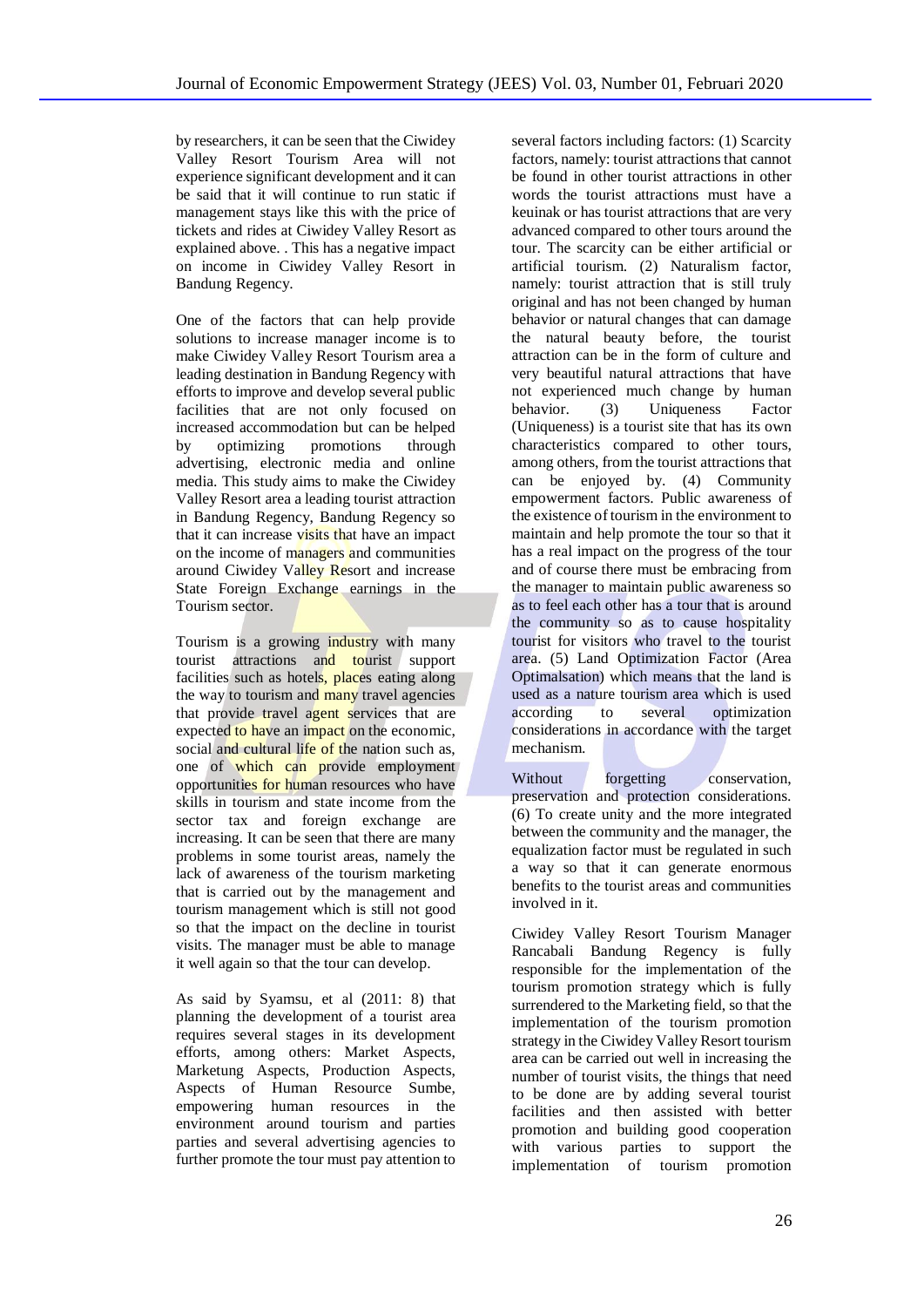by researchers, it can be seen that the Ciwidey Valley Resort Tourism Area will not experience significant development and it can be said that it will continue to run static if management stays like this with the price of tickets and rides at Ciwidey Valley Resort as explained above. . This has a negative impact on income in Ciwidey Valley Resort in Bandung Regency.

One of the factors that can help provide solutions to increase manager income is to make Ciwidey Valley Resort Tourism area a leading destination in Bandung Regency with efforts to improve and develop several public facilities that are not only focused on increased accommodation but can be helped by optimizing promotions through advertising, electronic media and online media. This study aims to make the Ciwidey Valley Resort area a leading tourist attraction in Bandung Regency, Bandung Regency so that it can increase visits that have an impact on the income of managers and communities around Ciwidey Valley Resort and increase State Foreign Exchange earnings in the Tourism sector.

Tourism is a growing industry with many tourist attractions and tourist support facilities such as hotels, places eating along the way to tourism and many travel agencies that provide travel agent services that are expected to have an impact on the economic, social and cultural life of the nation such as, one of which can provide employment opportunities for human resources who have skills in tourism and state income from the sector tax and foreign exchange are increasing. It can be seen that there are many problems in some tourist areas, namely the lack of awareness of the tourism marketing that is carried out by the management and tourism management which is still not good so that the impact on the decline in tourist visits. The manager must be able to manage it well again so that the tour can develop.

As said by Syamsu, et al (2011: 8) that planning the development of a tourist area requires several stages in its development efforts, among others: Market Aspects, Marketung Aspects, Production Aspects, Aspects of Human Resource Sumbe, empowering human resources in the environment around tourism and parties parties and several advertising agencies to further promote the tour must pay attention to

several factors including factors: (1) Scarcity factors, namely: tourist attractions that cannot be found in other tourist attractions in other words the tourist attractions must have a keuinak or has tourist attractions that are very advanced compared to other tours around the tour. The scarcity can be either artificial or artificial tourism. (2) Naturalism factor, namely: tourist attraction that is still truly original and has not been changed by human behavior or natural changes that can damage the natural beauty before, the tourist attraction can be in the form of culture and very beautiful natural attractions that have not experienced much change by human behavior. (3) Uniqueness Factor (Uniqueness) is a tourist site that has its own characteristics compared to other tours, among others, from the tourist attractions that can be enjoyed by. (4) Community empowerment factors. Public awareness of the existence of tourism in the environment to maintain and help promote the tour so that it has a real impact on the progress of the tour and of course there must be embracing from the manager to maintain public awareness so as to feel each other has a tour that is around the community so as to cause hospitality tourist for visitors who travel to the tourist area. (5) Land Optimization Factor (Area Optimalsation) which means that the land is used as a nature tourism area which is used according to several optimization considerations in accordance with the target mechanism.

Without forgetting conservation, preservation and protection considerations. (6) To create unity and the more integrated between the community and the manager, the equalization factor must be regulated in such a way so that it can generate enormous benefits to the tourist areas and communities involved in it.

Ciwidey Valley Resort Tourism Manager Rancabali Bandung Regency is fully responsible for the implementation of the tourism promotion strategy which is fully surrendered to the Marketing field, so that the implementation of the tourism promotion strategy in the Ciwidey Valley Resort tourism area can be carried out well in increasing the number of tourist visits, the things that need to be done are by adding several tourist facilities and then assisted with better promotion and building good cooperation with various parties to support the implementation of tourism promotion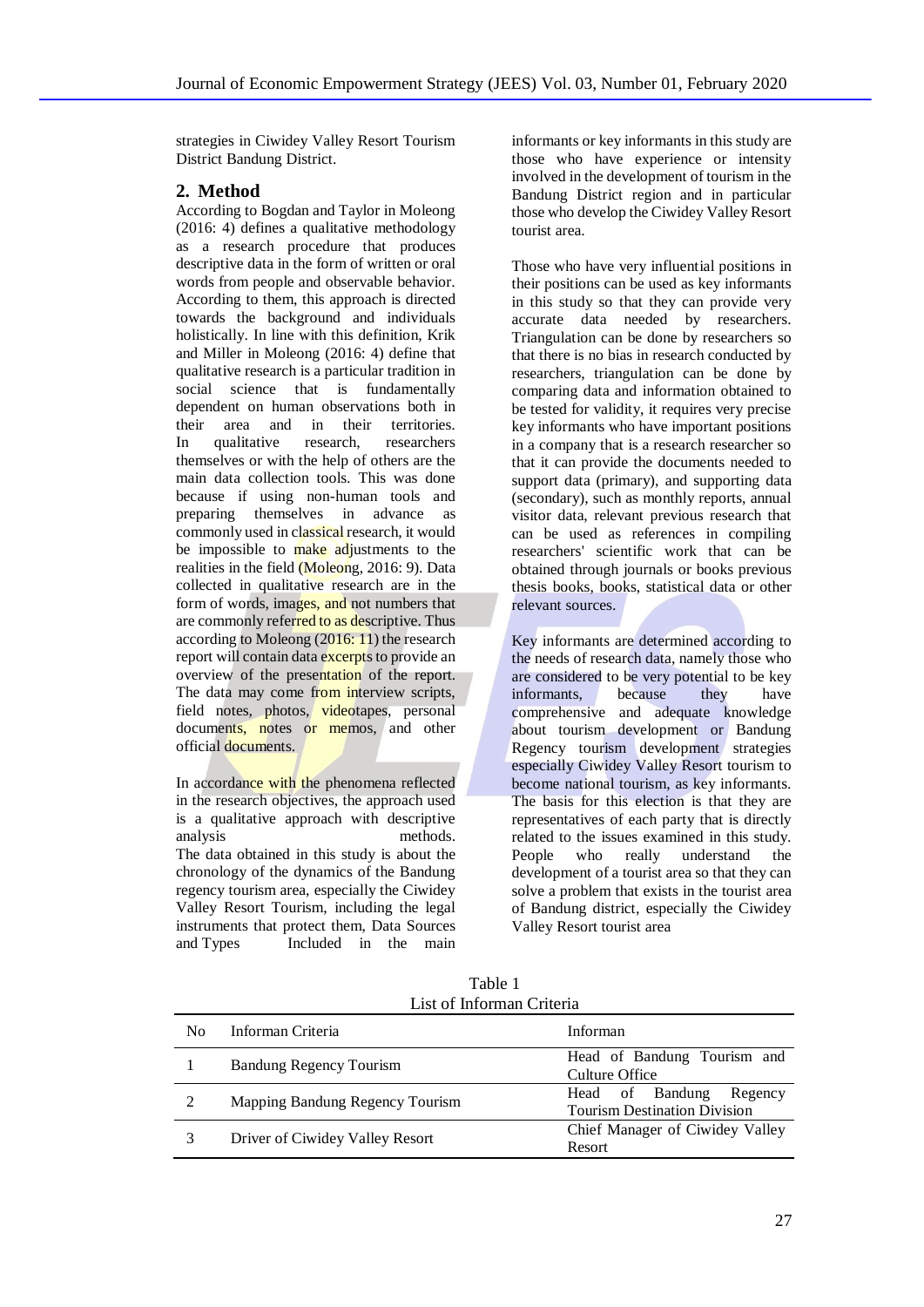strategies in Ciwidey Valley Resort Tourism District Bandung District.

# **2. Method**

According to Bogdan and Taylor in Moleong (2016: 4) defines a qualitative methodology as a research procedure that produces descriptive data in the form of written or oral words from people and observable behavior. According to them, this approach is directed towards the background and individuals holistically. In line with this definition, Krik and Miller in Moleong (2016: 4) define that qualitative research is a particular tradition in social science that is fundamentally dependent on human observations both in their area and in their territories. In qualitative research, researchers themselves or with the help of others are the main data collection tools. This was done because if using non-human tools and preparing themselves in advance as commonly used in classical research, it would be impossible to make adjustments to the realities in the field (Moleong, 2016: 9). Data collected in qualitative research are in the form of words, images, and not numbers that are commonly referred to as descriptive. Thus according to Moleong (2016: 11) the research report will contain data excerpts to provide an overview of the presentation of the report. The data may come from interview scripts. field notes, photos, videotapes, personal documents, notes or memos, and other official documents.

In accordance with the phenomena reflected in the research objectives, the approach used is a qualitative approach with descriptive analysis methods. The data obtained in this study is about the chronology of the dynamics of the Bandung regency tourism area, especially the Ciwidey Valley Resort Tourism, including the legal instruments that protect them, Data Sources<br>and Types Included in the main Included in the main

informants or key informants in this study are those who have experience or intensity involved in the development of tourism in the Bandung District region and in particular those who develop the Ciwidey Valley Resort tourist area.

Those who have very influential positions in their positions can be used as key informants in this study so that they can provide very accurate data needed by researchers. Triangulation can be done by researchers so that there is no bias in research conducted by researchers, triangulation can be done by comparing data and information obtained to be tested for validity, it requires very precise key informants who have important positions in a company that is a research researcher so that it can provide the documents needed to support data (primary), and supporting data (secondary), such as monthly reports, annual visitor data, relevant previous research that can be used as references in compiling researchers' scientific work that can be obtained through journals or books previous thesis books, books, statistical data or other relevant sources.

Key informants are determined according to the needs of research data, namely those who are considered to be very potential to be key informants, because they have comprehensive and adequate knowledge about tourism development or Bandung Regency tourism development strategies especially Ciwidey Valley Resort tourism to become national tourism, as key informants. The basis for this election is that they are representatives of each party that is directly related to the issues examined in this study. People who really understand the development of a tourist area so that they can solve a problem that exists in the tourist area of Bandung district, especially the Ciwidey Valley Resort tourist area

| Table 1                   |
|---------------------------|
| List of Informan Criteria |

| No | Informan Criteria               | Informan                                                          |
|----|---------------------------------|-------------------------------------------------------------------|
|    | <b>Bandung Regency Tourism</b>  | Head of Bandung Tourism and<br>Culture Office                     |
|    | Mapping Bandung Regency Tourism | Head of Bandung<br>Regency<br><b>Tourism Destination Division</b> |
|    | Driver of Ciwidey Valley Resort | Chief Manager of Ciwidey Valley<br>Resort                         |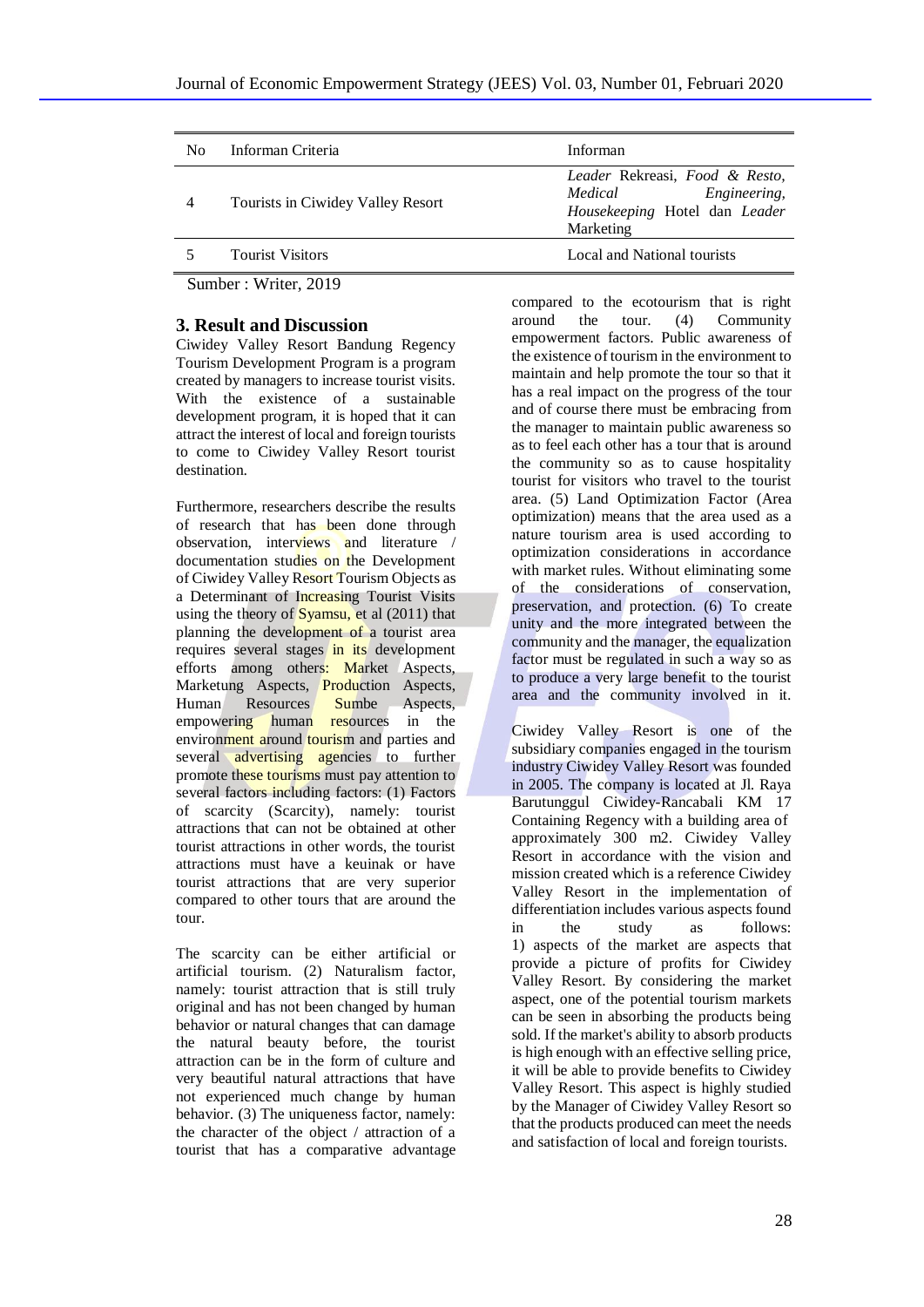| N <sub>0</sub> | Informan Criteria                 | Informan                                                                                                |
|----------------|-----------------------------------|---------------------------------------------------------------------------------------------------------|
| 4              | Tourists in Ciwidey Valley Resort | Leader Rekreasi, Food & Resto,<br>Engineering,<br>Medical<br>Housekeeping Hotel dan Leader<br>Marketing |
|                | <b>Tourist Visitors</b>           | Local and National tourists                                                                             |

Sumber : Writer, 2019

#### **3. Result and Discussion**

Ciwidey Valley Resort Bandung Regency Tourism Development Program is a program created by managers to increase tourist visits. With the existence of a sustainable development program, it is hoped that it can attract the interest of local and foreign tourists to come to Ciwidey Valley Resort tourist destination.

Furthermore, researchers describe the results of research that has been done through observation, interviews and literature / documentation studies on the Development of Ciwidey Valley Resort Tourism Objects as a Determinant of Increasing Tourist Visits using the theory of  $Syamsu$ , et al (2011) that planning the development of a tourist area requires several stages in its development efforts among others: Market Aspects, Marketung Aspects, **Production** Aspects, Human Resources Sumbe Aspects, empowering human resources in the environment around tourism and parties and several advertising agencies to further promote these tourisms must pay attention to several factors including factors: (1) Factors of scarcity (Scarcity), namely: tourist attractions that can not be obtained at other tourist attractions in other words, the tourist attractions must have a keuinak or have tourist attractions that are very superior compared to other tours that are around the tour.

The scarcity can be either artificial or artificial tourism. (2) Naturalism factor, namely: tourist attraction that is still truly original and has not been changed by human behavior or natural changes that can damage the natural beauty before, the tourist attraction can be in the form of culture and very beautiful natural attractions that have not experienced much change by human behavior. (3) The uniqueness factor, namely: the character of the object / attraction of a tourist that has a comparative advantage

compared to the ecotourism that is right around the tour. (4) Community empowerment factors. Public awareness of the existence of tourism in the environment to maintain and help promote the tour so that it has a real impact on the progress of the tour and of course there must be embracing from the manager to maintain public awareness so as to feel each other has a tour that is around the community so as to cause hospitality tourist for visitors who travel to the tourist area. (5) Land Optimization Factor (Area optimization) means that the area used as a nature tourism area is used according to optimization considerations in accordance with market rules. Without eliminating some of the considerations of conservation, preservation, and protection. (6) To create unity and the more integrated between the community and the manager, the equalization factor must be regulated in such a way so as to produce a very large benefit to the tourist area and the community involved in it.

Ciwidey Valley Resort is one of the subsidiary companies engaged in the tourism industry Ciwidey Valley Resort was founded in 2005. The company is located at Jl. Raya Barutunggul Ciwidey-Rancabali KM 17 Containing Regency with a building area of approximately 300 m2. Ciwidey Valley Resort in accordance with the vision and mission created which is a reference Ciwidey Valley Resort in the implementation of differentiation includes various aspects found in the study as follows: 1) aspects of the market are aspects that provide a picture of profits for Ciwidey Valley Resort. By considering the market aspect, one of the potential tourism markets can be seen in absorbing the products being sold. If the market's ability to absorb products is high enough with an effective selling price, it will be able to provide benefits to Ciwidey Valley Resort. This aspect is highly studied by the Manager of Ciwidey Valley Resort so that the products produced can meet the needs and satisfaction of local and foreign tourists.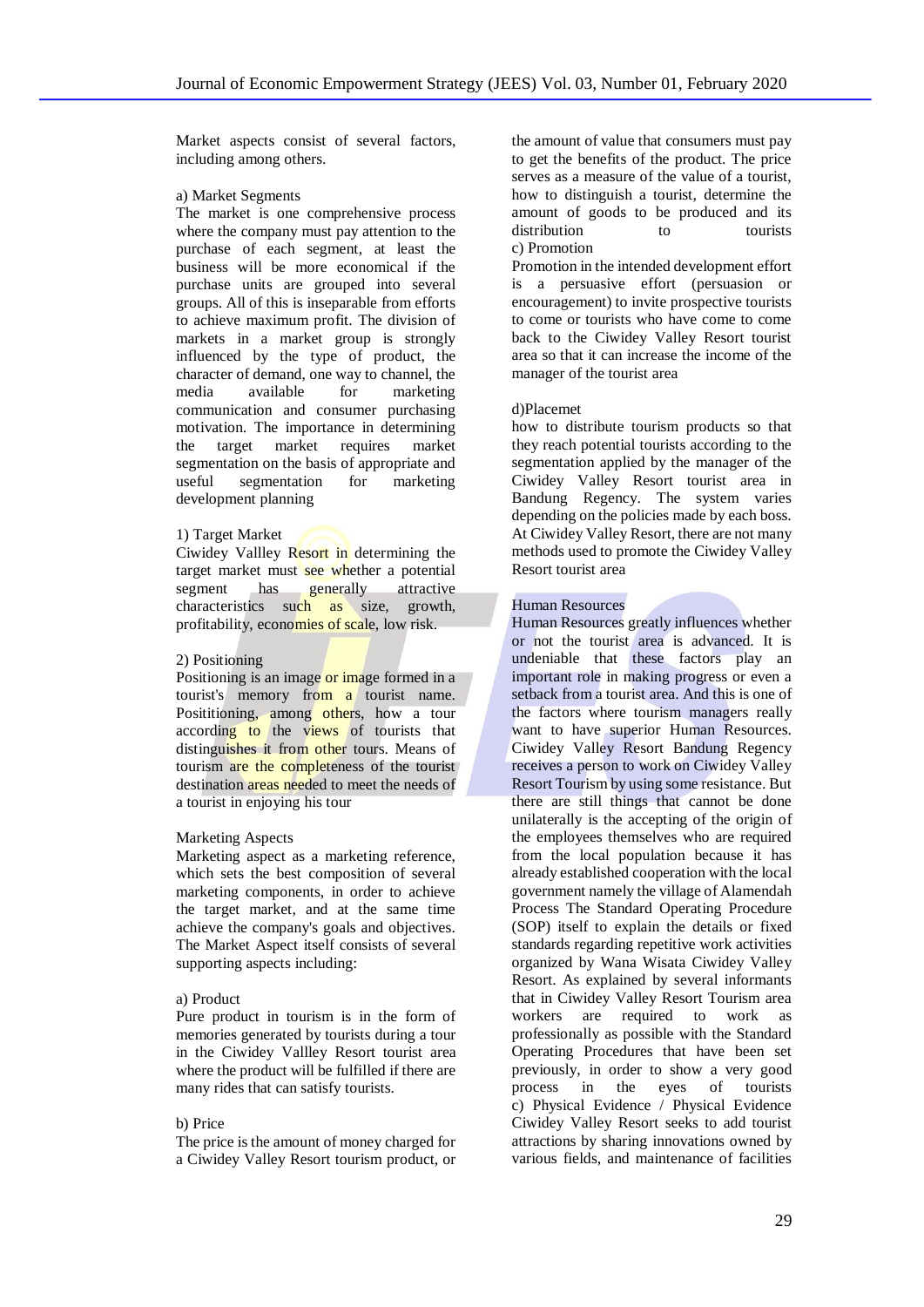Market aspects consist of several factors, including among others.

#### a) Market Segments

The market is one comprehensive process where the company must pay attention to the purchase of each segment, at least the business will be more economical if the purchase units are grouped into several groups. All of this is inseparable from efforts to achieve maximum profit. The division of markets in a market group is strongly influenced by the type of product, the character of demand, one way to channel, the media available for marketing communication and consumer purchasing motivation. The importance in determining the target market requires market segmentation on the basis of appropriate and useful segmentation for marketing development planning

#### 1) Target Market

Ciwidey Vallley Resort in determining the target market must see whether a potential segment has generally attractive characteristics such as size, growth, profitability, economies of scale, low risk.

#### 2) Positioning

Positioning is an image or image formed in a tourist's memory from a tourist name. Posititioning, among others, how a tour according to the views of tourists that distinguishes it from other tours. Means of tourism are the completeness of the tourist destination areas needed to meet the needs of a tourist in enjoying his tour

#### Marketing Aspects

Marketing aspect as a marketing reference, which sets the best composition of several marketing components, in order to achieve the target market, and at the same time achieve the company's goals and objectives. The Market Aspect itself consists of several supporting aspects including:

#### a) Product

Pure product in tourism is in the form of memories generated by tourists during a tour in the Ciwidey Vallley Resort tourist area where the product will be fulfilled if there are many rides that can satisfy tourists.

#### b) Price

The price is the amount of money charged for a Ciwidey Valley Resort tourism product, or the amount of value that consumers must pay to get the benefits of the product. The price serves as a measure of the value of a tourist, how to distinguish a tourist, determine the amount of goods to be produced and its distribution to tourists c) Promotion

Promotion in the intended development effort is a persuasive effort (persuasion or encouragement) to invite prospective tourists to come or tourists who have come to come back to the Ciwidey Valley Resort tourist area so that it can increase the income of the manager of the tourist area

#### d)Placemet

how to distribute tourism products so that they reach potential tourists according to the segmentation applied by the manager of the Ciwidey Valley Resort tourist area in Bandung Regency. The system varies depending on the policies made by each boss. At Ciwidey Valley Resort, there are not many methods used to promote the Ciwidey Valley Resort tourist area

#### Human Resources

Human Resources greatly influences whether or not the tourist area is advanced. It is undeniable that these factors play an important role in making progress or even a setback from a tourist area. And this is one of the factors where tourism managers really want to have superior Human Resources. Ciwidey Valley Resort Bandung Regency receives a person to work on Ciwidey Valley Resort Tourism by using some resistance. But there are still things that cannot be done unilaterally is the accepting of the origin of the employees themselves who are required from the local population because it has already established cooperation with the local government namely the village of Alamendah Process The Standard Operating Procedure (SOP) itself to explain the details or fixed standards regarding repetitive work activities organized by Wana Wisata Ciwidey Valley Resort. As explained by several informants that in Ciwidey Valley Resort Tourism area workers are required to work as professionally as possible with the Standard Operating Procedures that have been set previously, in order to show a very good process in the eyes of tourists c) Physical Evidence / Physical Evidence Ciwidey Valley Resort seeks to add tourist attractions by sharing innovations owned by various fields, and maintenance of facilities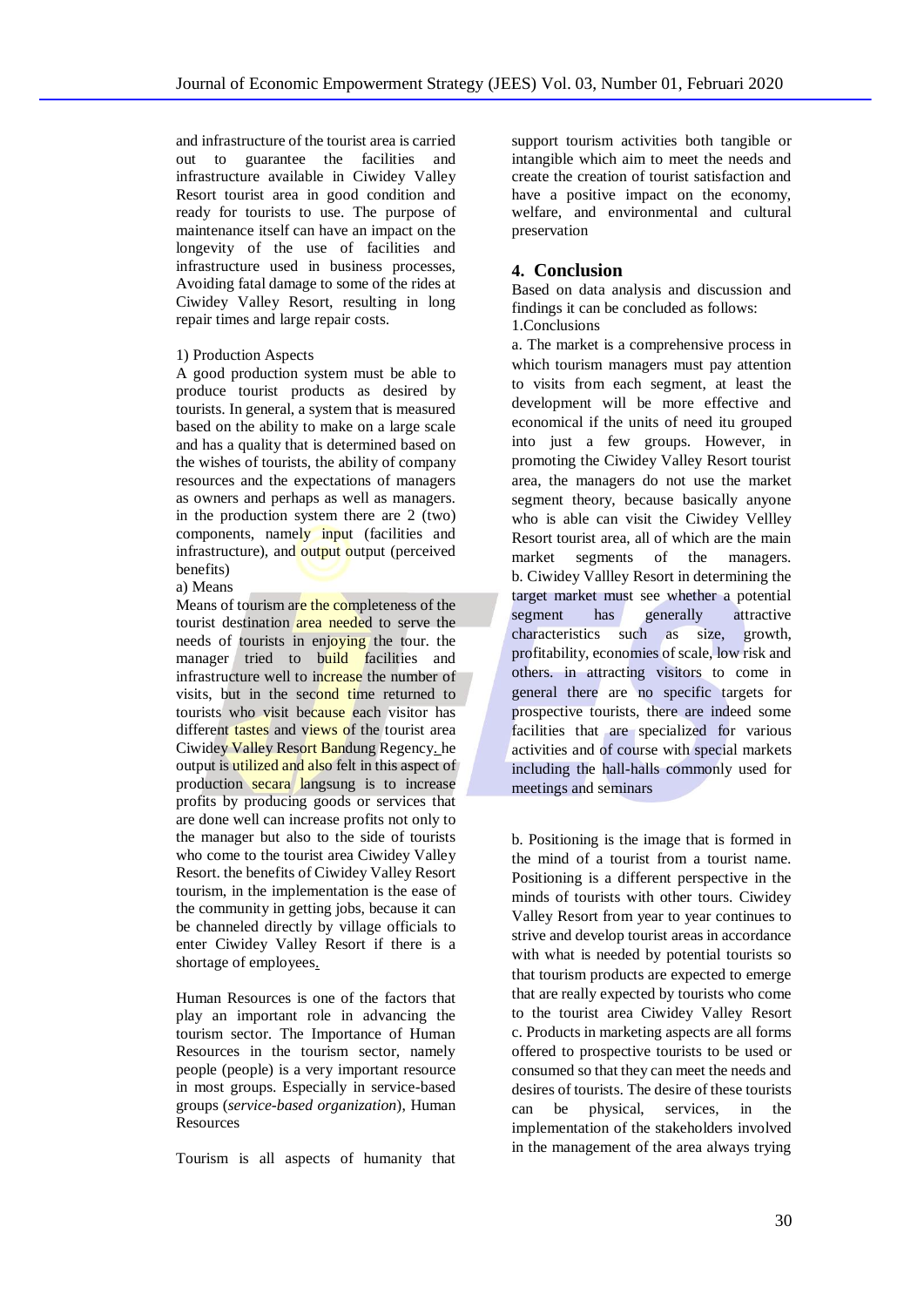and infrastructure of the tourist area is carried out to guarantee the facilities and infrastructure available in Ciwidey Valley Resort tourist area in good condition and ready for tourists to use. The purpose of maintenance itself can have an impact on the longevity of the use of facilities and infrastructure used in business processes, Avoiding fatal damage to some of the rides at Ciwidey Valley Resort, resulting in long repair times and large repair costs.

#### 1) Production Aspects

A good production system must be able to produce tourist products as desired by tourists. In general, a system that is measured based on the ability to make on a large scale and has a quality that is determined based on the wishes of tourists, the ability of company resources and the expectations of managers as owners and perhaps as well as managers. in the production system there are 2 (two) components, namely input (facilities and infrastructure), and output output (perceived benefits)

a) Means

Means of tourism are the completeness of the tourist destination area needed to serve the needs of tourists in enjoying the tour. the manager tried to build facilities and infrastructure well to increase the number of visits, but in the second time returned to tourists who visit because each visitor has different tastes and views of the tourist area Ciwidey Valley Resort Bandung Regency. he output is utilized and also felt in this aspect of production secara langsung is to increase profits by producing goods or services that are done well can increase profits not only to the manager but also to the side of tourists who come to the tourist area Ciwidey Valley Resort. the benefits of Ciwidey Valley Resort tourism, in the implementation is the ease of the community in getting jobs, because it can be channeled directly by village officials to enter Ciwidey Valley Resort if there is a shortage of employees.

Human Resources is one of the factors that play an important role in advancing the tourism sector. The Importance of Human Resources in the tourism sector, namely people (people) is a very important resource in most groups. Especially in service-based groups (*service-based organization*), Human **Resources** 

Tourism is all aspects of humanity that

support tourism activities both tangible or intangible which aim to meet the needs and create the creation of tourist satisfaction and have a positive impact on the economy, welfare, and environmental and cultural preservation

# **4. Conclusion**

Based on data analysis and discussion and findings it can be concluded as follows: 1.Conclusions

a. The market is a comprehensive process in which tourism managers must pay attention to visits from each segment, at least the development will be more effective and economical if the units of need itu grouped into just a few groups. However, in promoting the Ciwidey Valley Resort tourist area, the managers do not use the market segment theory, because basically anyone who is able can visit the Ciwidey Vellley Resort tourist area, all of which are the main market segments of the managers. b. Ciwidey Vallley Resort in determining the target market must see whether a potential segment has generally attractive characteristics such as size, growth, profitability, economies of scale, low risk and others. in attracting visitors to come in general there are no specific targets for prospective tourists, there are indeed some facilities that are specialized for various activities and of course with special markets including the hall-halls commonly used for meetings and seminars

b. Positioning is the image that is formed in the mind of a tourist from a tourist name. Positioning is a different perspective in the minds of tourists with other tours. Ciwidey Valley Resort from year to year continues to strive and develop tourist areas in accordance with what is needed by potential tourists so that tourism products are expected to emerge that are really expected by tourists who come to the tourist area Ciwidey Valley Resort c. Products in marketing aspects are all forms offered to prospective tourists to be used or consumed so that they can meet the needs and desires of tourists. The desire of these tourists can be physical, services, in the implementation of the stakeholders involved in the management of the area always trying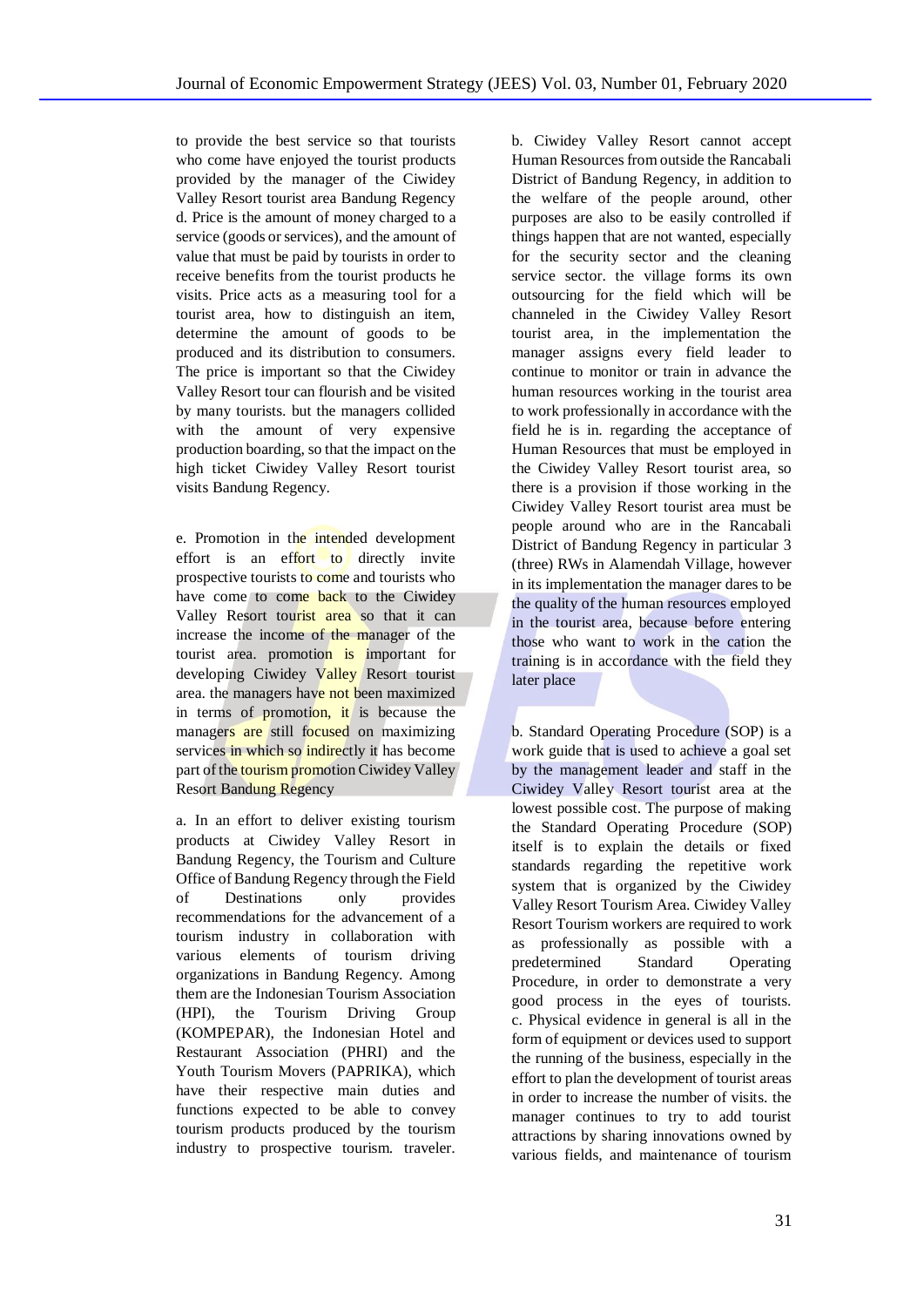to provide the best service so that tourists who come have enjoyed the tourist products provided by the manager of the Ciwidey Valley Resort tourist area Bandung Regency d. Price is the amount of money charged to a service (goods or services), and the amount of value that must be paid by tourists in order to receive benefits from the tourist products he visits. Price acts as a measuring tool for a tourist area, how to distinguish an item, determine the amount of goods to be produced and its distribution to consumers. The price is important so that the Ciwidey Valley Resort tour can flourish and be visited by many tourists. but the managers collided with the amount of very expensive production boarding, so that the impact on the high ticket Ciwidey Valley Resort tourist visits Bandung Regency.

e. Promotion in the intended development effort is an effort to directly invite prospective tourists to come and tourists who have come to come back to the Ciwidey Valley Resort tourist area so that it can increase the income of the manager of the tourist area. promotion is important for developing Ciwidey Valley Resort tourist area. the managers have not been maximized in terms of promotion, it is because the managers are still focused on maximizing services in which so indirectly it has become part of the tourism promotion Ciwidey Valley Resort Bandung Regency

a. In an effort to deliver existing tourism products at Ciwidey Valley Resort in Bandung Regency, the Tourism and Culture Office of Bandung Regency through the Field of Destinations only provides recommendations for the advancement of a tourism industry in collaboration with various elements of tourism driving organizations in Bandung Regency. Among them are the Indonesian Tourism Association (HPI), the Tourism Driving Group (KOMPEPAR), the Indonesian Hotel and Restaurant Association (PHRI) and the Youth Tourism Movers (PAPRIKA), which have their respective main duties and functions expected to be able to convey tourism products produced by the tourism industry to prospective tourism. traveler.

b. Ciwidey Valley Resort cannot accept Human Resources from outside the Rancabali District of Bandung Regency, in addition to the welfare of the people around, other purposes are also to be easily controlled if things happen that are not wanted, especially for the security sector and the cleaning service sector. the village forms its own outsourcing for the field which will be channeled in the Ciwidey Valley Resort tourist area, in the implementation the manager assigns every field leader to continue to monitor or train in advance the human resources working in the tourist area to work professionally in accordance with the field he is in. regarding the acceptance of Human Resources that must be employed in the Ciwidey Valley Resort tourist area, so there is a provision if those working in the Ciwidey Valley Resort tourist area must be people around who are in the Rancabali District of Bandung Regency in particular 3 (three) RWs in Alamendah Village, however in its implementation the manager dares to be the quality of the human resources employed in the tourist area, because before entering those who want to work in the cation the training is in accordance with the field they later place

b. Standard Operating Procedure (SOP) is a work guide that is used to achieve a goal set by the management leader and staff in the Ciwidey Valley Resort tourist area at the lowest possible cost. The purpose of making the Standard Operating Procedure (SOP) itself is to explain the details or fixed standards regarding the repetitive work system that is organized by the Ciwidey Valley Resort Tourism Area. Ciwidey Valley Resort Tourism workers are required to work as professionally as possible with a predetermined Standard Operating Procedure, in order to demonstrate a very good process in the eyes of tourists. c. Physical evidence in general is all in the form of equipment or devices used to support the running of the business, especially in the effort to plan the development of tourist areas in order to increase the number of visits. the manager continues to try to add tourist attractions by sharing innovations owned by various fields, and maintenance of tourism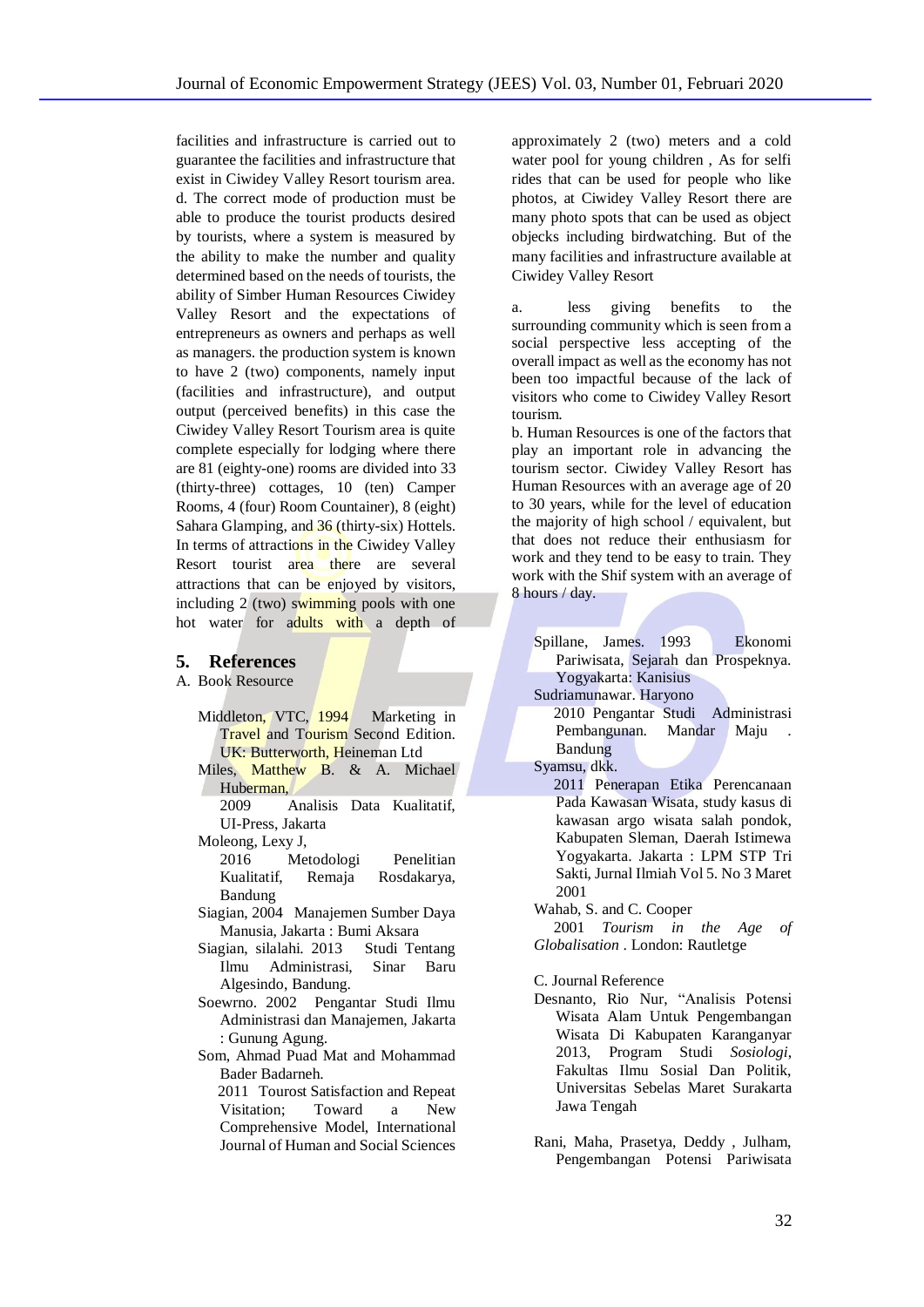facilities and infrastructure is carried out to guarantee the facilities and infrastructure that exist in Ciwidey Valley Resort tourism area. d. The correct mode of production must be able to produce the tourist products desired by tourists, where a system is measured by the ability to make the number and quality determined based on the needs of tourists, the ability of Simber Human Resources Ciwidey Valley Resort and the expectations of entrepreneurs as owners and perhaps as well as managers. the production system is known to have 2 (two) components, namely input (facilities and infrastructure), and output output (perceived benefits) in this case the Ciwidey Valley Resort Tourism area is quite complete especially for lodging where there are 81 (eighty-one) rooms are divided into 33 (thirty-three) cottages, 10 (ten) Camper Rooms, 4 (four) Room Countainer), 8 (eight) Sahara Glamping, and 36 (thirty-six) Hottels. In terms of attractions in the Ciwidey Valley Resort tourist area there are several attractions that can be enjoyed by visitors, including 2 (two) swimming pools with one hot water for adults with a depth of

#### **5. References**

A. Book Resource

- Middleton, VTC, 1994 Marketing in Travel and Tourism Second Edition. UK: Butterworth, Heineman Ltd
- Miles, Matthew B. & A. Michael Huberman,

2009 Analisis Data Kualitatif, UI-Press, Jakarta

- Moleong, Lexy J,
- 2016 Metodologi Penelitian<br>Kualitatif Remaia Rosdakarya, Remaja Rosdakarya, Bandung
- Siagian, 2004 Manajemen Sumber Daya Manusia, Jakarta : Bumi Aksara
- Siagian, silalahi. 2013 Studi Tentang Ilmu Administrasi, Sinar Baru Algesindo, Bandung.
- Soewrno. 2002 Pengantar Studi Ilmu Administrasi dan Manajemen, Jakarta : Gunung Agung.
- Som, Ahmad Puad Mat and Mohammad Bader Badarneh.

 2011 Tourost Satisfaction and Repeat Visitation; Toward a New Comprehensive Model, International Journal of Human and Social Sciences

approximately 2 (two) meters and a cold water pool for young children , As for selfi rides that can be used for people who like photos, at Ciwidey Valley Resort there are many photo spots that can be used as object objecks including birdwatching. But of the many facilities and infrastructure available at Ciwidey Valley Resort

a. less giving benefits to the surrounding community which is seen from a social perspective less accepting of the overall impact as well as the economy has not been too impactful because of the lack of visitors who come to Ciwidey Valley Resort tourism.

b. Human Resources is one of the factors that play an important role in advancing the tourism sector. Ciwidey Valley Resort has Human Resources with an average age of 20 to 30 years, while for the level of education the majority of high school / equivalent, but that does not reduce their enthusiasm for work and they tend to be easy to train. They work with the Shif system with an average of 8 hours / day.

Spillane, James. 1993 Ekonomi Pariwisata, Sejarah dan Prospeknya. Yogyakarta: Kanisius

Sudriamunawar. Haryono

 2010 Pengantar Studi Administrasi Pembangunan. Mandar Maju Bandung

Syamsu, dkk.

 2011 Penerapan Etika Perencanaan Pada Kawasan Wisata, study kasus di kawasan argo wisata salah pondok, Kabupaten Sleman, Daerah Istimewa Yogyakarta. Jakarta : LPM STP Tri Sakti, Jurnal Ilmiah Vol 5. No 3 Maret 2001

Wahab, S. and C. Cooper

 2001 *Tourism in the Age of Globalisation* . London: Rautletge

C. Journal Reference

Desnanto, Rio Nur, "Analisis Potensi Wisata Alam Untuk Pengembangan Wisata Di Kabupaten Karanganyar 2013, Program Studi *Sosiologi*, Fakultas Ilmu Sosial Dan Politik, Universitas Sebelas Maret Surakarta Jawa Tengah

Rani, Maha, Prasetya, Deddy , Julham, Pengembangan Potensi Pariwisata